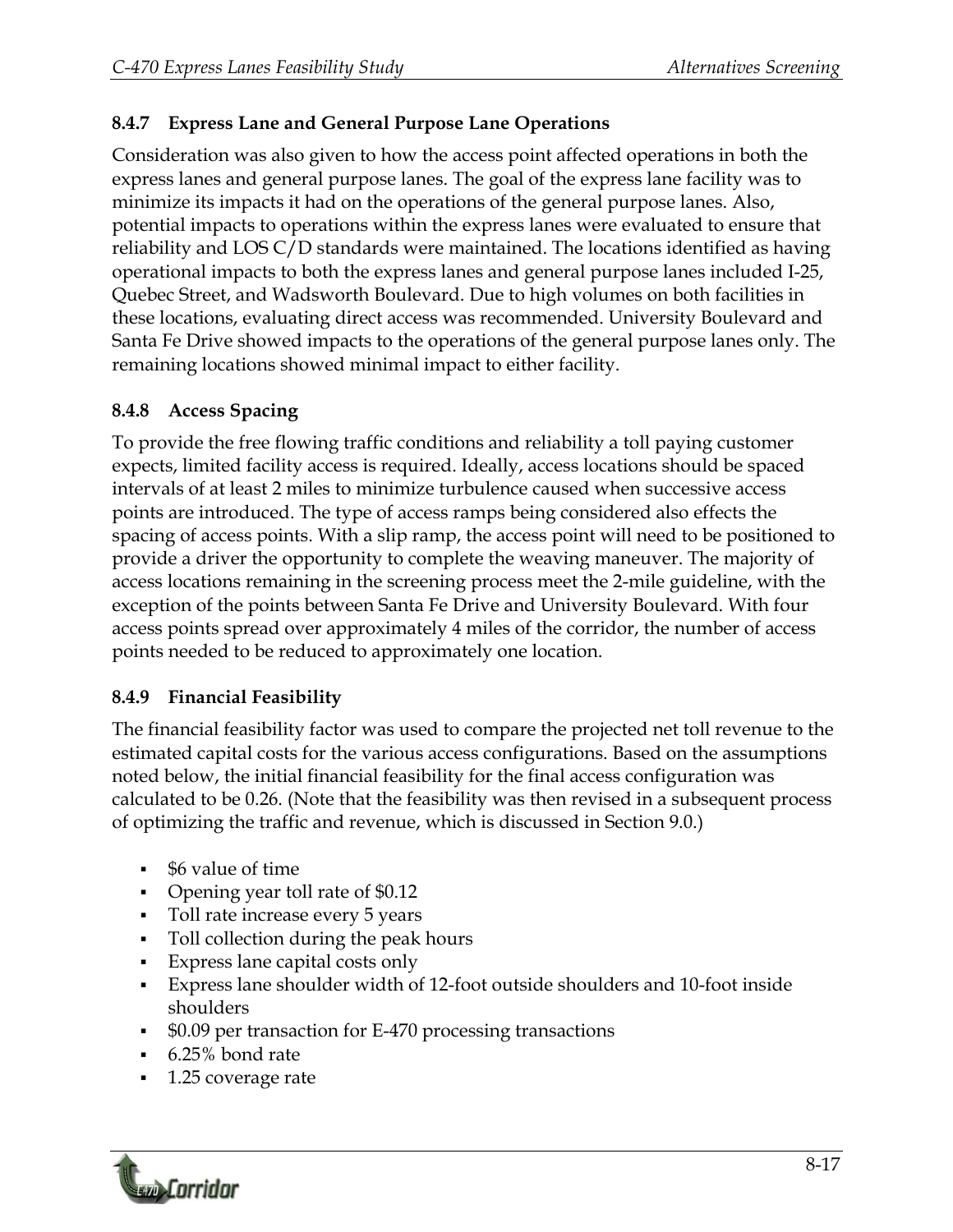## **8.4.7 Express Lane and General Purpose Lane Operations**

Consideration was also given to how the access point affected operations in both the express lanes and general purpose lanes. The goal of the express lane facility was to minimize its impacts it had on the operations of the general purpose lanes. Also, potential impacts to operations within the express lanes were evaluated to ensure that reliability and LOS C/D standards were maintained. The locations identified as having operational impacts to both the express lanes and general purpose lanes included I-25, Quebec Street, and Wadsworth Boulevard. Due to high volumes on both facilities in these locations, evaluating direct access was recommended. University Boulevard and Santa Fe Drive showed impacts to the operations of the general purpose lanes only. The remaining locations showed minimal impact to either facility.

## **8.4.8 Access Spacing**

To provide the free flowing traffic conditions and reliability a toll paying customer expects, limited facility access is required. Ideally, access locations should be spaced intervals of at least 2 miles to minimize turbulence caused when successive access points are introduced. The type of access ramps being considered also effects the spacing of access points. With a slip ramp, the access point will need to be positioned to provide a driver the opportunity to complete the weaving maneuver. The majority of access locations remaining in the screening process meet the 2-mile guideline, with the exception of the points between Santa Fe Drive and University Boulevard. With four access points spread over approximately 4 miles of the corridor, the number of access points needed to be reduced to approximately one location.

## **8.4.9 Financial Feasibility**

The financial feasibility factor was used to compare the projected net toll revenue to the estimated capital costs for the various access configurations. Based on the assumptions noted below, the initial financial feasibility for the final access configuration was calculated to be 0.26. (Note that the feasibility was then revised in a subsequent process of optimizing the traffic and revenue, which is discussed in Section 9.0.)

- \$6 value of time
- Opening year toll rate of \$0.12
- Toll rate increase every 5 years
- Toll collection during the peak hours
- Express lane capital costs only
- Express lane shoulder width of 12-foot outside shoulders and 10-foot inside shoulders
- \$0.09 per transaction for E-470 processing transactions
- 6.25% bond rate
- 1.25 coverage rate

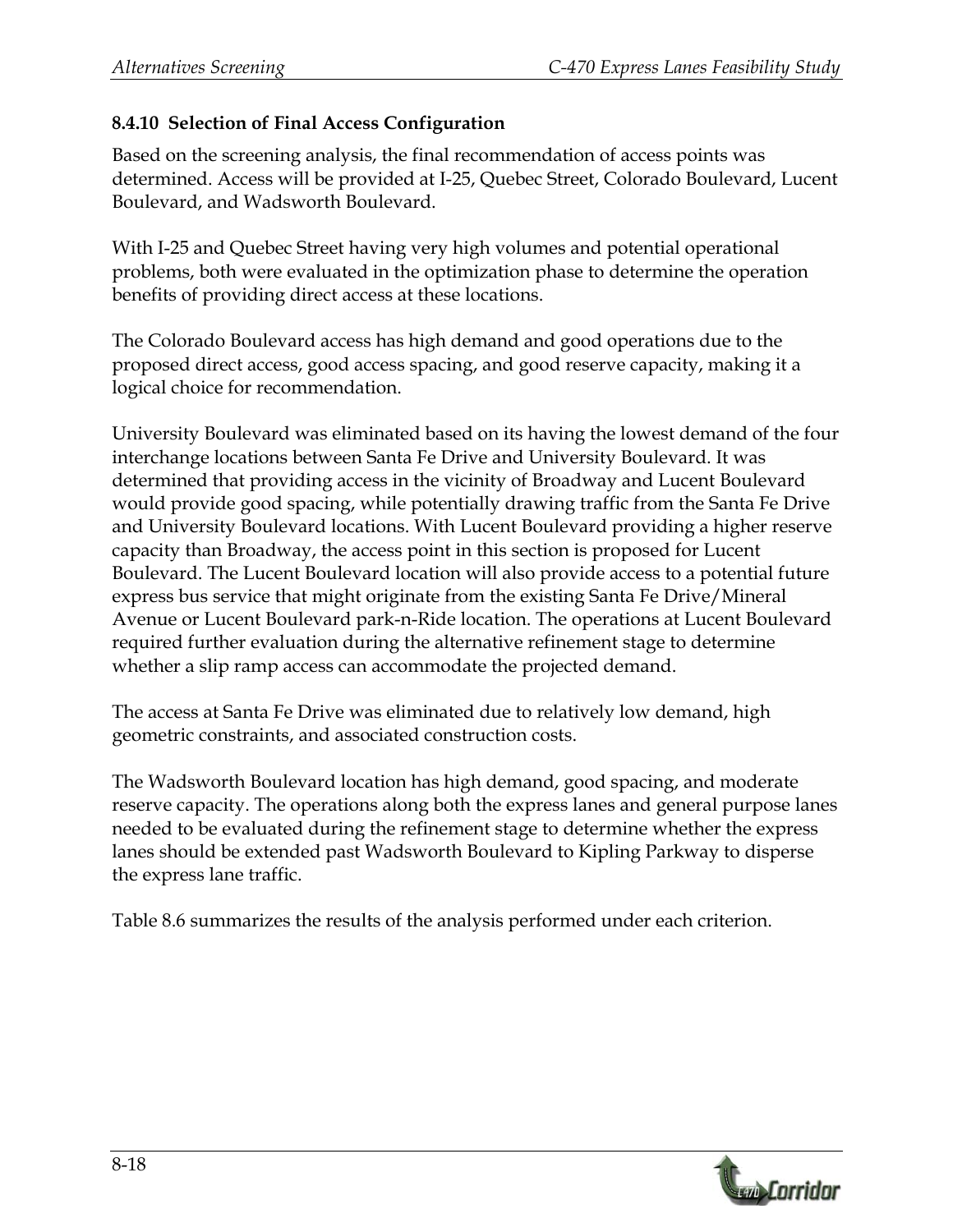## **8.4.10 Selection of Final Access Configuration**

Based on the screening analysis, the final recommendation of access points was determined. Access will be provided at I-25, Quebec Street, Colorado Boulevard, Lucent Boulevard, and Wadsworth Boulevard.

With I-25 and Quebec Street having very high volumes and potential operational problems, both were evaluated in the optimization phase to determine the operation benefits of providing direct access at these locations.

The Colorado Boulevard access has high demand and good operations due to the proposed direct access, good access spacing, and good reserve capacity, making it a logical choice for recommendation.

University Boulevard was eliminated based on its having the lowest demand of the four interchange locations between Santa Fe Drive and University Boulevard. It was determined that providing access in the vicinity of Broadway and Lucent Boulevard would provide good spacing, while potentially drawing traffic from the Santa Fe Drive and University Boulevard locations. With Lucent Boulevard providing a higher reserve capacity than Broadway, the access point in this section is proposed for Lucent Boulevard. The Lucent Boulevard location will also provide access to a potential future express bus service that might originate from the existing Santa Fe Drive/Mineral Avenue or Lucent Boulevard park-n-Ride location. The operations at Lucent Boulevard required further evaluation during the alternative refinement stage to determine whether a slip ramp access can accommodate the projected demand.

The access at Santa Fe Drive was eliminated due to relatively low demand, high geometric constraints, and associated construction costs.

The Wadsworth Boulevard location has high demand, good spacing, and moderate reserve capacity. The operations along both the express lanes and general purpose lanes needed to be evaluated during the refinement stage to determine whether the express lanes should be extended past Wadsworth Boulevard to Kipling Parkway to disperse the express lane traffic.

Table 8.6 summarizes the results of the analysis performed under each criterion.

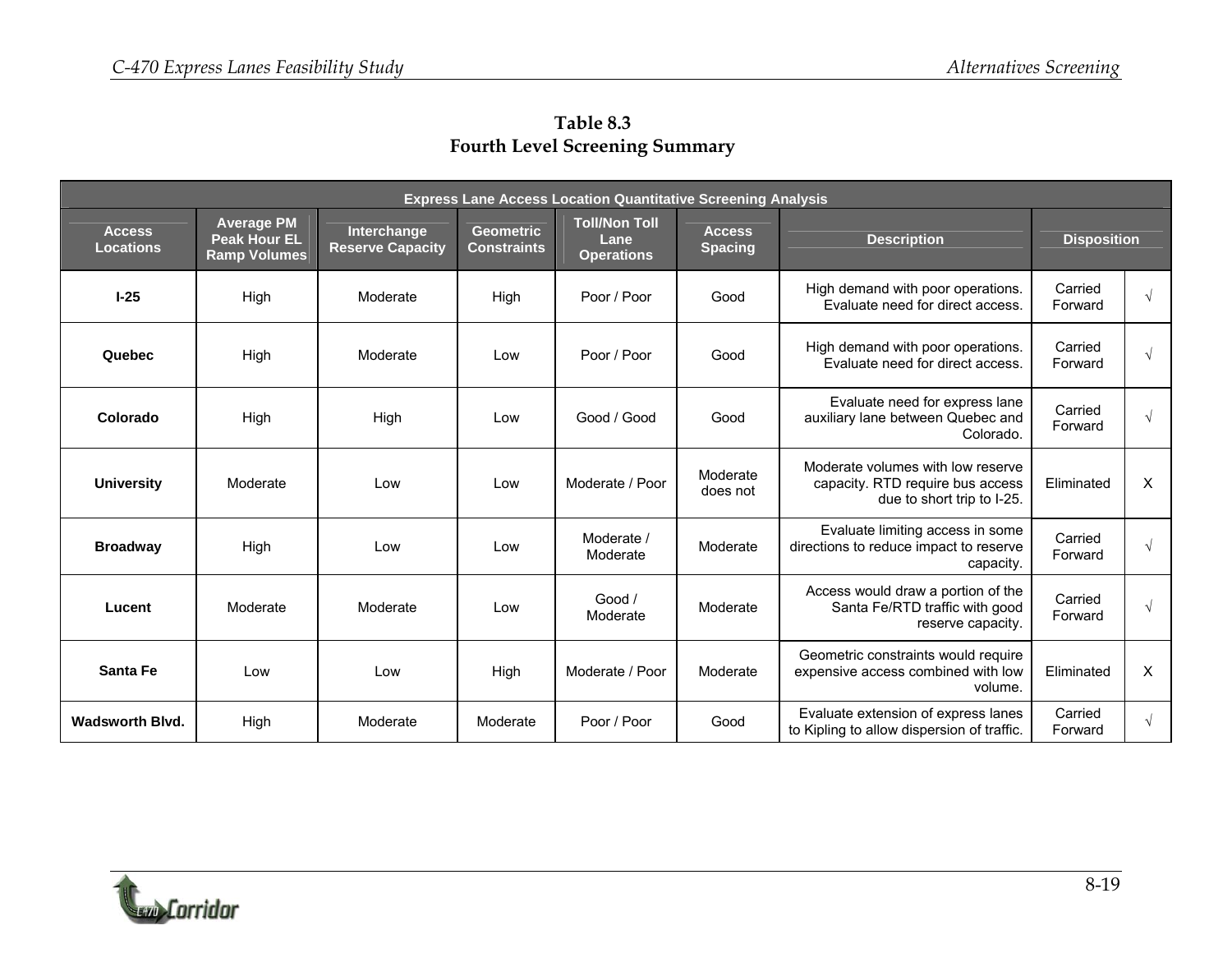| <b>Express Lane Access Location Quantitative Screening Analysis</b> |                                                                 |                                               |                                        |                                                   |                                 |                                                                                                     |                    |           |
|---------------------------------------------------------------------|-----------------------------------------------------------------|-----------------------------------------------|----------------------------------------|---------------------------------------------------|---------------------------------|-----------------------------------------------------------------------------------------------------|--------------------|-----------|
| <b>Access</b><br><b>Locations</b>                                   | <b>Average PM</b><br><b>Peak Hour EL</b><br><b>Ramp Volumes</b> | <b>Interchange</b><br><b>Reserve Capacity</b> | <b>Geometric</b><br><b>Constraints</b> | <b>Toll/Non Toll</b><br>Lane<br><b>Operations</b> | <b>Access</b><br><b>Spacing</b> | <b>Description</b>                                                                                  | <b>Disposition</b> |           |
| $I-25$                                                              | High                                                            | Moderate                                      | High                                   | Poor / Poor                                       | Good                            | High demand with poor operations.<br>Evaluate need for direct access.                               | Carried<br>Forward | $\sqrt{}$ |
| Quebec                                                              | High                                                            | Moderate                                      | Low                                    | Poor / Poor                                       | Good                            | High demand with poor operations.<br>Evaluate need for direct access.                               | Carried<br>Forward | $\sqrt{}$ |
| Colorado                                                            | High                                                            | High                                          | Low                                    | Good / Good                                       | Good                            | Evaluate need for express lane<br>auxiliary lane between Quebec and<br>Colorado.                    | Carried<br>Forward | $\sqrt{}$ |
| <b>University</b>                                                   | Moderate                                                        | Low                                           | Low                                    | Moderate / Poor                                   | Moderate<br>does not            | Moderate volumes with low reserve<br>capacity. RTD require bus access<br>due to short trip to I-25. | Eliminated         | X         |
| <b>Broadway</b>                                                     | High                                                            | Low                                           | Low                                    | Moderate /<br>Moderate                            | Moderate                        | Evaluate limiting access in some<br>directions to reduce impact to reserve<br>capacity.             | Carried<br>Forward | $\sqrt{}$ |
| Lucent                                                              | Moderate                                                        | Moderate                                      | Low                                    | Good /<br>Moderate                                | Moderate                        | Access would draw a portion of the<br>Santa Fe/RTD traffic with good<br>reserve capacity.           | Carried<br>Forward | $\sqrt{}$ |
| Santa Fe                                                            | Low                                                             | Low                                           | High                                   | Moderate / Poor                                   | Moderate                        | Geometric constraints would require<br>expensive access combined with low<br>volume.                | Eliminated         | X         |
| <b>Wadsworth Blvd.</b>                                              | High                                                            | Moderate                                      | Moderate                               | Poor / Poor                                       | Good                            | Evaluate extension of express lanes<br>to Kipling to allow dispersion of traffic.                   | Carried<br>Forward | $\sqrt{}$ |

**Table 8.3 Fourth Level Screening Summary**